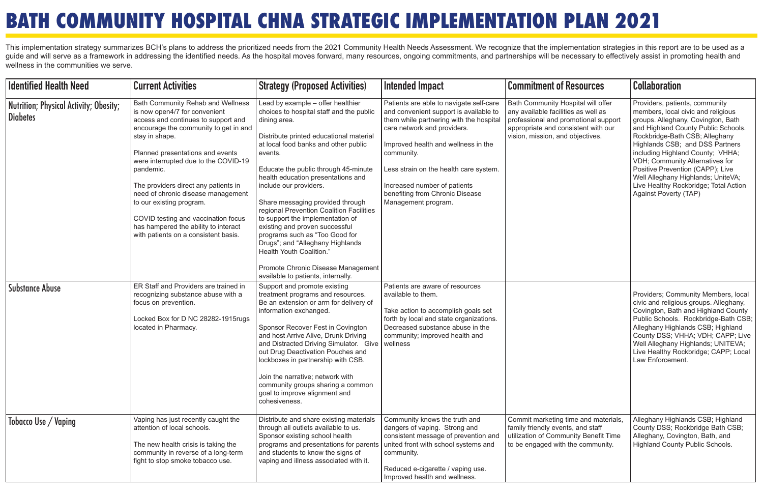| <b>Identified Health Need</b>                             | <b>Current Activities</b>                                                                                                                                                                                                                                                                                                                                                                                                                                                                      | <b>Strategy (Proposed Activities)</b>                                                                                                                                                                                                                                                                                                                                                                                                                                                                                                                                                                                                   | Intended Impact                                                                                                                                                                                                                                                                                                                                      | <b>Commitment of Resources</b>                                                                                                                                                               | <b>Collaboration</b>                                                                                                                                                                                                                                                                                                                                                                                                                              |
|-----------------------------------------------------------|------------------------------------------------------------------------------------------------------------------------------------------------------------------------------------------------------------------------------------------------------------------------------------------------------------------------------------------------------------------------------------------------------------------------------------------------------------------------------------------------|-----------------------------------------------------------------------------------------------------------------------------------------------------------------------------------------------------------------------------------------------------------------------------------------------------------------------------------------------------------------------------------------------------------------------------------------------------------------------------------------------------------------------------------------------------------------------------------------------------------------------------------------|------------------------------------------------------------------------------------------------------------------------------------------------------------------------------------------------------------------------------------------------------------------------------------------------------------------------------------------------------|----------------------------------------------------------------------------------------------------------------------------------------------------------------------------------------------|---------------------------------------------------------------------------------------------------------------------------------------------------------------------------------------------------------------------------------------------------------------------------------------------------------------------------------------------------------------------------------------------------------------------------------------------------|
| Nutrition; Physical Activity; Obesity;<br><b>Diabetes</b> | Bath Community Rehab and Wellness<br>is now open4/7 for convenient<br>access and continues to support and<br>encourage the community to get in and<br>stay in shape.<br>Planned presentations and events<br>were interrupted due to the COVID-19<br>pandemic.<br>The providers direct any patients in<br>need of chronic disease management<br>to our existing program.<br>COVID testing and vaccination focus<br>has hampered the ability to interact<br>with patients on a consistent basis. | Lead by example - offer healthier<br>choices to hospital staff and the public<br>dining area.<br>Distribute printed educational material<br>at local food banks and other public<br>events.<br>Educate the public through 45-minute<br>health education presentations and<br>include our providers.<br>Share messaging provided through<br>regional Prevention Coalition Facilities<br>to support the implementation of<br>existing and proven successful<br>programs such as "Too Good for<br>Drugs"; and "Alleghany Highlands<br>Health Youth Coalition."<br>Promote Chronic Disease Management<br>available to patients, internally. | Patients are able to navigate self-care<br>and convenient support is available to<br>them while partnering with the hospital<br>care network and providers.<br>Improved health and wellness in the<br>community.<br>Less strain on the health care system.<br>Increased number of patients<br>benefiting from Chronic Disease<br>Management program. | Bath Community Hospital will offer<br>any available facilities as well as<br>professional and promotional support<br>appropriate and consistent with our<br>vision, mission, and objectives. | Providers, patients, community<br>members, local civic and religious<br>groups. Alleghany, Covington, Bath<br>and Highland County Public Schools.<br>Rockbridge-Bath CSB; Alleghany<br>Highlands CSB; and DSS Partners<br>including Highland County; VHHA;<br><b>VDH</b> ; Community Alternatives for<br>Positive Prevention (CAPP); Live<br>Well Alleghany Highlands; UniteVA;<br>Live Healthy Rockbridge; Total Action<br>Against Poverty (TAP) |
| Substance Abuse                                           | ER Staff and Providers are trained in<br>recognizing substance abuse with a<br>focus on prevention.<br>Locked Box for D NC 28282-1915rugs<br>located in Pharmacy.                                                                                                                                                                                                                                                                                                                              | Support and promote existing<br>treatment programs and resources.<br>Be an extension or arm for delivery of<br>information exchanged.<br>Sponsor Recover Fest in Covington<br>and host Arrive Alive, Drunk Driving<br>and Distracted Driving Simulator. Give<br>out Drug Deactivation Pouches and<br>lockboxes in partnership with CSB.<br>Join the narrative; network with<br>community groups sharing a common<br>goal to improve alignment and<br>cohesiveness.                                                                                                                                                                      | Patients are aware of resources<br>available to them.<br>Take action to accomplish goals set<br>forth by local and state organizations.<br>Decreased substance abuse in the<br>community; improved health and<br>wellness                                                                                                                            |                                                                                                                                                                                              | Providers; Community Members, local<br>civic and religious groups. Alleghany,<br>Covington, Bath and Highland County<br>Public Schools. Rockbridge-Bath CSB;<br>Alleghany Highlands CSB; Highland<br>County DSS; VHHA; VDH; CAPP; Live<br>Well Alleghany Highlands; UNITEVA;<br>Live Healthy Rockbridge; CAPP; Local<br>Law Enforcement.                                                                                                          |
| Tobacco Use / Vaping                                      | Vaping has just recently caught the<br>attention of local schools.<br>The new health crisis is taking the<br>community in reverse of a long-term<br>fight to stop smoke tobacco use.                                                                                                                                                                                                                                                                                                           | Distribute and share existing materials<br>through all outlets available to us.<br>Sponsor existing school health<br>programs and presentations for parents<br>and students to know the signs of<br>vaping and illness associated with it.                                                                                                                                                                                                                                                                                                                                                                                              | Community knows the truth and<br>dangers of vaping. Strong and<br>consistent message of prevention and<br>united front with school systems and<br>community.<br>Reduced e-cigarette / vaping use.<br>Improved health and wellness.                                                                                                                   | Commit marketing time and materials,<br>family friendly events, and staff<br>utilization of Community Benefit Time<br>to be engaged with the community.                                      | Alleghany Highlands CSB; Highland<br>County DSS; Rockbridge Bath CSB;<br>Alleghany, Covington, Bath, and<br>Highland County Public Schools.                                                                                                                                                                                                                                                                                                       |

This implementation strategy summarizes BCH's plans to address the prioritized needs from the 2021 Community Health Needs Assessment. We recognize that the implementation strategies in this report are to be used as a guide and will serve as a framework in addressing the identified needs. As the hospital moves forward, many resources, ongoing commitments, and partnerships will be necessary to effectively assist in promoting health and wellness in the communities we serve.

## **BATH COMMUNITY HOSPITAL CHNA STRATEGIC IMPLEMENTATION PLAN 2021**